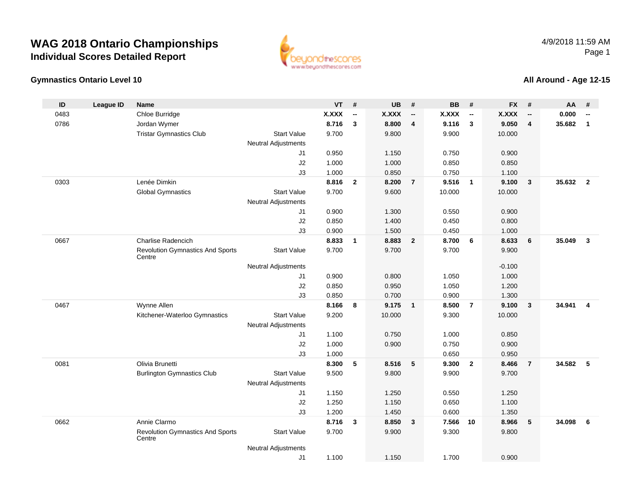#### **Gymnastics Ontario Level 10**

www.beyondthescores.com

#### **All Around - Age 12-15**

| ID   | <b>League ID</b> | <b>Name</b>                                       |                            | <b>VT</b>    | #                        | UB     | #                        | <b>BB</b> | #                        | <b>FX</b>    | #                        | AA     | #                        |
|------|------------------|---------------------------------------------------|----------------------------|--------------|--------------------------|--------|--------------------------|-----------|--------------------------|--------------|--------------------------|--------|--------------------------|
| 0483 |                  | Chloe Burridge                                    |                            | <b>X.XXX</b> | $\overline{\phantom{a}}$ | X.XXX  | $\overline{\phantom{a}}$ | X.XXX     | $\overline{\phantom{a}}$ | <b>X.XXX</b> | $\overline{\phantom{a}}$ | 0.000  | $\overline{\phantom{a}}$ |
| 0786 |                  | Jordan Wymer                                      |                            | 8.716        | 3                        | 8.800  | 4                        | 9.116     | $\mathbf{3}$             | 9.050        | 4                        | 35.682 | $\mathbf{1}$             |
|      |                  | <b>Tristar Gymnastics Club</b>                    | <b>Start Value</b>         | 9.700        |                          | 9.800  |                          | 9.900     |                          | 10.000       |                          |        |                          |
|      |                  |                                                   | <b>Neutral Adjustments</b> |              |                          |        |                          |           |                          |              |                          |        |                          |
|      |                  |                                                   | J1                         | 0.950        |                          | 1.150  |                          | 0.750     |                          | 0.900        |                          |        |                          |
|      |                  |                                                   | J2                         | 1.000        |                          | 1.000  |                          | 0.850     |                          | 0.850        |                          |        |                          |
|      |                  |                                                   | J3                         | 1.000        |                          | 0.850  |                          | 0.750     |                          | 1.100        |                          |        |                          |
| 0303 |                  | Lenée Dimkin                                      |                            | 8.816        | $\mathbf{2}$             | 8.200  | $\overline{7}$           | 9.516     | $\overline{\mathbf{1}}$  | 9.100        | $\mathbf{3}$             | 35.632 | $\overline{\mathbf{2}}$  |
|      |                  | <b>Global Gymnastics</b>                          | <b>Start Value</b>         | 9.700        |                          | 9.600  |                          | 10.000    |                          | 10.000       |                          |        |                          |
|      |                  |                                                   | <b>Neutral Adjustments</b> |              |                          |        |                          |           |                          |              |                          |        |                          |
|      |                  |                                                   | J1                         | 0.900        |                          | 1.300  |                          | 0.550     |                          | 0.900        |                          |        |                          |
|      |                  |                                                   | J2                         | 0.850        |                          | 1.400  |                          | 0.450     |                          | 0.800        |                          |        |                          |
|      |                  |                                                   | J3                         | 0.900        |                          | 1.500  |                          | 0.450     |                          | 1.000        |                          |        |                          |
| 0667 |                  | Charlise Radencich                                |                            | 8.833        | $\overline{1}$           | 8.883  | $\overline{2}$           | 8.700     | 6                        | 8.633        | 6                        | 35.049 | 3                        |
|      |                  | <b>Revolution Gymnastics And Sports</b><br>Centre | <b>Start Value</b>         | 9.700        |                          | 9.700  |                          | 9.700     |                          | 9.900        |                          |        |                          |
|      |                  |                                                   | <b>Neutral Adjustments</b> |              |                          |        |                          |           |                          | $-0.100$     |                          |        |                          |
|      |                  |                                                   | J1                         | 0.900        |                          | 0.800  |                          | 1.050     |                          | 1.000        |                          |        |                          |
|      |                  |                                                   | J2                         | 0.850        |                          | 0.950  |                          | 1.050     |                          | 1.200        |                          |        |                          |
|      |                  |                                                   | J3                         | 0.850        |                          | 0.700  |                          | 0.900     |                          | 1.300        |                          |        |                          |
| 0467 |                  | Wynne Allen                                       |                            | 8.166        | 8                        | 9.175  | $\overline{1}$           | 8.500     | $\overline{7}$           | 9.100        | $\mathbf{3}$             | 34.941 | $\overline{\mathbf{4}}$  |
|      |                  | Kitchener-Waterloo Gymnastics                     | <b>Start Value</b>         | 9.200        |                          | 10.000 |                          | 9.300     |                          | 10.000       |                          |        |                          |
|      |                  |                                                   | <b>Neutral Adjustments</b> |              |                          |        |                          |           |                          |              |                          |        |                          |
|      |                  |                                                   | J <sub>1</sub>             | 1.100        |                          | 0.750  |                          | 1.000     |                          | 0.850        |                          |        |                          |
|      |                  |                                                   | J2                         | 1.000        |                          | 0.900  |                          | 0.750     |                          | 0.900        |                          |        |                          |
|      |                  |                                                   | J3                         | 1.000        |                          |        |                          | 0.650     |                          | 0.950        |                          |        |                          |
| 0081 |                  | Olivia Brunetti                                   |                            | 8.300        | 5                        | 8.516  | 5                        | 9.300     | $\overline{2}$           | 8.466        | $\overline{7}$           | 34.582 | 5                        |
|      |                  | <b>Burlington Gymnastics Club</b>                 | <b>Start Value</b>         | 9.500        |                          | 9.800  |                          | 9.900     |                          | 9.700        |                          |        |                          |
|      |                  |                                                   | <b>Neutral Adjustments</b> |              |                          |        |                          |           |                          |              |                          |        |                          |
|      |                  |                                                   | J <sub>1</sub>             | 1.150        |                          | 1.250  |                          | 0.550     |                          | 1.250        |                          |        |                          |
|      |                  |                                                   | J2                         | 1.250        |                          | 1.150  |                          | 0.650     |                          | 1.100        |                          |        |                          |
|      |                  |                                                   | J3                         | 1.200        |                          | 1.450  |                          | 0.600     |                          | 1.350        |                          |        |                          |
| 0662 |                  | Annie Clarmo                                      |                            | 8.716        | 3                        | 8.850  | $\mathbf{3}$             | 7.566     | 10                       | 8.966        | 5                        | 34.098 | 6                        |
|      |                  | <b>Revolution Gymnastics And Sports</b><br>Centre | <b>Start Value</b>         | 9.700        |                          | 9.900  |                          | 9.300     |                          | 9.800        |                          |        |                          |
|      |                  |                                                   | <b>Neutral Adjustments</b> |              |                          |        |                          |           |                          |              |                          |        |                          |
|      |                  |                                                   | J1                         | 1.100        |                          | 1.150  |                          | 1.700     |                          | 0.900        |                          |        |                          |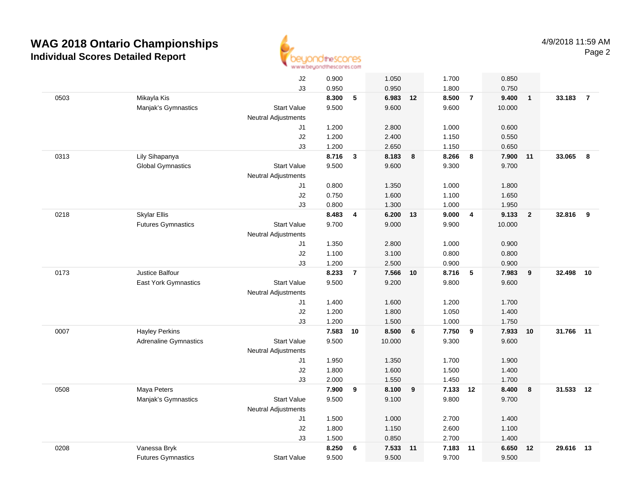

|      |                              | J2                         | 0.900 |                | 1.050  |    | 1.700    |                | 0.850  |                |           |                |
|------|------------------------------|----------------------------|-------|----------------|--------|----|----------|----------------|--------|----------------|-----------|----------------|
|      |                              | J3                         | 0.950 |                | 0.950  |    | 1.800    |                | 0.750  |                |           |                |
| 0503 | Mikayla Kis                  |                            | 8.300 | 5              | 6.983  | 12 | 8.500    | $\overline{7}$ | 9.400  | $\overline{1}$ | 33.183    | $\overline{7}$ |
|      | Manjak's Gymnastics          | <b>Start Value</b>         | 9.500 |                | 9.600  |    | 9.600    |                | 10.000 |                |           |                |
|      |                              | <b>Neutral Adjustments</b> |       |                |        |    |          |                |        |                |           |                |
|      |                              | J1                         | 1.200 |                | 2.800  |    | 1.000    |                | 0.600  |                |           |                |
|      |                              | J2                         | 1.200 |                | 2.400  |    | 1.150    |                | 0.550  |                |           |                |
|      |                              | J3                         | 1.200 |                | 2.650  |    | 1.150    |                | 0.650  |                |           |                |
| 0313 | Lily Sihapanya               |                            | 8.716 | $\mathbf{3}$   | 8.183  | 8  | 8.266    | 8              | 7.900  | 11             | 33.065    | 8              |
|      | <b>Global Gymnastics</b>     | <b>Start Value</b>         | 9.500 |                | 9.600  |    | 9.300    |                | 9.700  |                |           |                |
|      |                              | <b>Neutral Adjustments</b> |       |                |        |    |          |                |        |                |           |                |
|      |                              | J1                         | 0.800 |                | 1.350  |    | 1.000    |                | 1.800  |                |           |                |
|      |                              | J2                         | 0.750 |                | 1.600  |    | 1.100    |                | 1.650  |                |           |                |
|      |                              | J3                         | 0.800 |                | 1.300  |    | 1.000    |                | 1.950  |                |           |                |
| 0218 | <b>Skylar Ellis</b>          |                            | 8.483 | 4              | 6.200  | 13 | 9.000    | $\overline{4}$ | 9.133  | $\overline{2}$ | 32.816    | 9              |
|      | <b>Futures Gymnastics</b>    | <b>Start Value</b>         | 9.700 |                | 9.000  |    | 9.900    |                | 10.000 |                |           |                |
|      |                              | <b>Neutral Adjustments</b> |       |                |        |    |          |                |        |                |           |                |
|      |                              | J1                         | 1.350 |                | 2.800  |    | 1.000    |                | 0.900  |                |           |                |
|      |                              | J2                         | 1.100 |                | 3.100  |    | 0.800    |                | 0.800  |                |           |                |
|      |                              | J3                         | 1.200 |                | 2.500  |    | 0.900    |                | 0.900  |                |           |                |
| 0173 | Justice Balfour              |                            | 8.233 | $\overline{7}$ | 7.566  | 10 | 8.716    | $\sqrt{5}$     | 7.983  | 9              | 32.498    | 10             |
|      | East York Gymnastics         | <b>Start Value</b>         | 9.500 |                | 9.200  |    | 9.800    |                | 9.600  |                |           |                |
|      |                              | <b>Neutral Adjustments</b> |       |                |        |    |          |                |        |                |           |                |
|      |                              | J1                         | 1.400 |                | 1.600  |    | 1.200    |                | 1.700  |                |           |                |
|      |                              | J2                         | 1.200 |                | 1.800  |    | 1.050    |                | 1.400  |                |           |                |
|      |                              | J3                         | 1.200 |                | 1.500  |    | 1.000    |                | 1.750  |                |           |                |
| 0007 | <b>Hayley Perkins</b>        |                            | 7.583 | 10             | 8.500  | 6  | 7.750    | $\overline{9}$ | 7.933  | 10             | 31.766    | 11             |
|      | <b>Adrenaline Gymnastics</b> | <b>Start Value</b>         | 9.500 |                | 10.000 |    | 9.300    |                | 9.600  |                |           |                |
|      |                              | Neutral Adjustments        |       |                |        |    |          |                |        |                |           |                |
|      |                              | J1                         | 1.950 |                | 1.350  |    | 1.700    |                | 1.900  |                |           |                |
|      |                              | J2                         | 1.800 |                | 1.600  |    | 1.500    |                | 1.400  |                |           |                |
|      |                              | J3                         | 2.000 |                | 1.550  |    | 1.450    |                | 1.700  |                |           |                |
| 0508 | Maya Peters                  |                            | 7.900 | 9              | 8.100  | 9  | 7.133 12 |                | 8.400  | 8              | 31.533 12 |                |
|      | Manjak's Gymnastics          | <b>Start Value</b>         | 9.500 |                | 9.100  |    | 9.800    |                | 9.700  |                |           |                |
|      |                              | <b>Neutral Adjustments</b> |       |                |        |    |          |                |        |                |           |                |
|      |                              | J1                         | 1.500 |                | 1.000  |    | 2.700    |                | 1.400  |                |           |                |
|      |                              | J2                         | 1.800 |                | 1.150  |    | 2.600    |                | 1.100  |                |           |                |
|      |                              | J3                         | 1.500 |                | 0.850  |    | 2.700    |                | 1.400  |                |           |                |
| 0208 | Vanessa Bryk                 |                            | 8.250 | 6              | 7.533  | 11 | 7.183    | 11             | 6.650  | 12             | 29.616    | 13             |
|      | <b>Futures Gymnastics</b>    | <b>Start Value</b>         | 9.500 |                | 9.500  |    | 9.700    |                | 9.500  |                |           |                |
|      |                              |                            |       |                |        |    |          |                |        |                |           |                |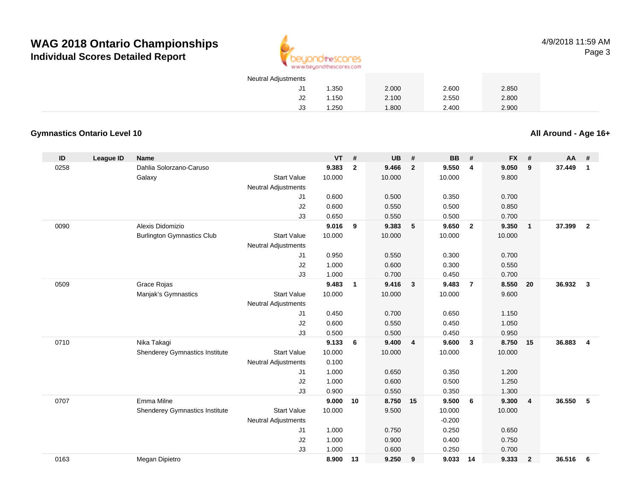

4/9/2018 11:59 AMPage 3

| <b>Neutral Adjustments</b> |       |       |       |       |  |
|----------------------------|-------|-------|-------|-------|--|
| J1                         | 1.350 | 2.000 | 2.600 | 2.850 |  |
| J2                         | 1.150 | 2.100 | 2.550 | 2.800 |  |
| JЗ                         | 1.250 | 1.800 | 2.400 | 2.900 |  |

#### **Gymnastics Ontario Level 10**

**All Around - Age 16+**

| ID   | <b>League ID</b> | <b>Name</b>                       |                            | <b>VT</b> | #              | <b>UB</b> | #              | <b>BB</b> | #                       | <b>FX</b> | #              | AA     | #                       |
|------|------------------|-----------------------------------|----------------------------|-----------|----------------|-----------|----------------|-----------|-------------------------|-----------|----------------|--------|-------------------------|
| 0258 |                  | Dahlia Solorzano-Caruso           |                            | 9.383     | $\overline{2}$ | 9.466     | $\overline{2}$ | 9.550     | $\overline{4}$          | 9.050     | 9              | 37.449 | $\mathbf{1}$            |
|      |                  | Galaxy                            | <b>Start Value</b>         | 10.000    |                | 10.000    |                | 10.000    |                         | 9.800     |                |        |                         |
|      |                  |                                   | Neutral Adjustments        |           |                |           |                |           |                         |           |                |        |                         |
|      |                  |                                   | J1                         | 0.600     |                | 0.500     |                | 0.350     |                         | 0.700     |                |        |                         |
|      |                  |                                   | J2                         | 0.600     |                | 0.550     |                | 0.500     |                         | 0.850     |                |        |                         |
|      |                  |                                   | J3                         | 0.650     |                | 0.550     |                | 0.500     |                         | 0.700     |                |        |                         |
| 0090 |                  | Alexis Didomizio                  |                            | 9.016     | 9              | 9.383     | 5              | 9.650     | $\overline{\mathbf{2}}$ | 9.350     | $\overline{1}$ | 37.399 | $\overline{2}$          |
|      |                  | <b>Burlington Gymnastics Club</b> | <b>Start Value</b>         | 10.000    |                | 10.000    |                | 10.000    |                         | 10.000    |                |        |                         |
|      |                  |                                   | <b>Neutral Adjustments</b> |           |                |           |                |           |                         |           |                |        |                         |
|      |                  |                                   | J1                         | 0.950     |                | 0.550     |                | 0.300     |                         | 0.700     |                |        |                         |
|      |                  |                                   | J2                         | 1.000     |                | 0.600     |                | 0.300     |                         | 0.550     |                |        |                         |
|      |                  |                                   | J3                         | 1.000     |                | 0.700     |                | 0.450     |                         | 0.700     |                |        |                         |
| 0509 |                  | Grace Rojas                       |                            | 9.483     | $\mathbf{1}$   | 9.416     | $\mathbf{3}$   | 9.483     | $\overline{7}$          | 8.550     | 20             | 36.932 | $\mathbf{3}$            |
|      |                  | Manjak's Gymnastics               | <b>Start Value</b>         | 10.000    |                | 10.000    |                | 10.000    |                         | 9.600     |                |        |                         |
|      |                  |                                   | <b>Neutral Adjustments</b> |           |                |           |                |           |                         |           |                |        |                         |
|      |                  |                                   | J1                         | 0.450     |                | 0.700     |                | 0.650     |                         | 1.150     |                |        |                         |
|      |                  |                                   | J2                         | 0.600     |                | 0.550     |                | 0.450     |                         | 1.050     |                |        |                         |
|      |                  |                                   | J3                         | 0.500     |                | 0.500     |                | 0.450     |                         | 0.950     |                |        |                         |
| 0710 |                  | Nika Takagi                       |                            | 9.133     | 6              | 9.400     | 4              | 9.600     | $\mathbf{3}$            | 8.750     | 15             | 36.883 | $\overline{\mathbf{4}}$ |
|      |                  | Shenderey Gymnastics Institute    | <b>Start Value</b>         | 10.000    |                | 10.000    |                | 10.000    |                         | 10.000    |                |        |                         |
|      |                  |                                   | Neutral Adjustments        | 0.100     |                |           |                |           |                         |           |                |        |                         |
|      |                  |                                   | J1                         | 1.000     |                | 0.650     |                | 0.350     |                         | 1.200     |                |        |                         |
|      |                  |                                   | J <sub>2</sub>             | 1.000     |                | 0.600     |                | 0.500     |                         | 1.250     |                |        |                         |
|      |                  |                                   | J3                         | 0.900     |                | 0.550     |                | 0.350     |                         | 1.300     |                |        |                         |
| 0707 |                  | Emma Milne                        |                            | 9.000     | 10             | 8.750     | 15             | 9.500     | 6                       | 9.300     | $\overline{4}$ | 36.550 | -5                      |
|      |                  | Shenderey Gymnastics Institute    | <b>Start Value</b>         | 10.000    |                | 9.500     |                | 10.000    |                         | 10.000    |                |        |                         |
|      |                  |                                   | <b>Neutral Adjustments</b> |           |                |           |                | $-0.200$  |                         |           |                |        |                         |
|      |                  |                                   | J1                         | 1.000     |                | 0.750     |                | 0.250     |                         | 0.650     |                |        |                         |
|      |                  |                                   | J2                         | 1.000     |                | 0.900     |                | 0.400     |                         | 0.750     |                |        |                         |
|      |                  |                                   | J3                         | 1.000     |                | 0.600     |                | 0.250     |                         | 0.700     |                |        |                         |
| 0163 |                  | Megan Dipietro                    |                            | 8.900     | 13             | 9.250     | 9              | 9.033     | 14                      | 9.333     | $\overline{2}$ | 36.516 | 6                       |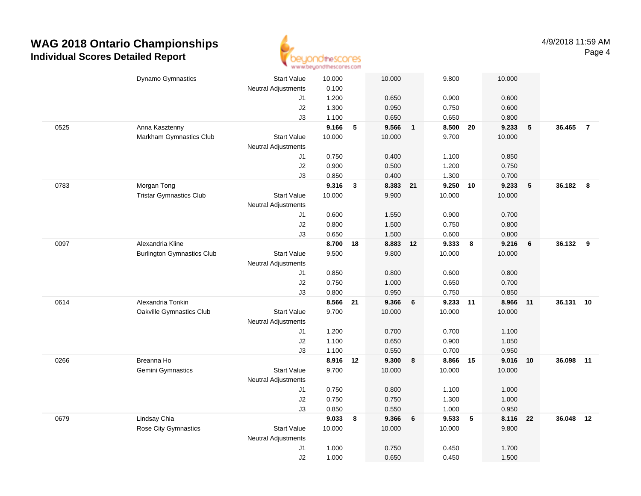

|      | Dynamo Gymnastics                 | <b>Start Value</b>         | 10.000   |              | 10.000   |                            | 9.800    |    | 10.000 |    |           |                |
|------|-----------------------------------|----------------------------|----------|--------------|----------|----------------------------|----------|----|--------|----|-----------|----------------|
|      |                                   | <b>Neutral Adjustments</b> | 0.100    |              |          |                            |          |    |        |    |           |                |
|      |                                   | J1                         | 1.200    |              | 0.650    |                            | 0.900    |    | 0.600  |    |           |                |
|      |                                   | J2                         | 1.300    |              | 0.950    |                            | 0.750    |    | 0.600  |    |           |                |
|      |                                   | J3                         | 1.100    |              | 0.650    |                            | 0.650    |    | 0.800  |    |           |                |
| 0525 | Anna Kasztenny                    |                            | 9.166    | $\sqrt{5}$   | 9.566    | $\overline{\phantom{0}}$ 1 | 8.500 20 |    | 9.233  | 5  | 36.465    | $\overline{7}$ |
|      | Markham Gymnastics Club           | <b>Start Value</b>         | 10.000   |              | 10.000   |                            | 9.700    |    | 10.000 |    |           |                |
|      |                                   | <b>Neutral Adjustments</b> |          |              |          |                            |          |    |        |    |           |                |
|      |                                   | J1                         | 0.750    |              | 0.400    |                            | 1.100    |    | 0.850  |    |           |                |
|      |                                   | J2                         | 0.900    |              | 0.500    |                            | 1.200    |    | 0.750  |    |           |                |
|      |                                   | J3                         | 0.850    |              | 0.400    |                            | 1.300    |    | 0.700  |    |           |                |
| 0783 | Morgan Tong                       |                            | 9.316    | $\mathbf{3}$ | 8.383 21 |                            | 9.250 10 |    | 9.233  | 5  | 36.182 8  |                |
|      | <b>Tristar Gymnastics Club</b>    | <b>Start Value</b>         | 10.000   |              | 9.900    |                            | 10.000   |    | 10.000 |    |           |                |
|      |                                   | <b>Neutral Adjustments</b> |          |              |          |                            |          |    |        |    |           |                |
|      |                                   | J1                         | 0.600    |              | 1.550    |                            | 0.900    |    | 0.700  |    |           |                |
|      |                                   | J2                         | 0.800    |              | 1.500    |                            | 0.750    |    | 0.800  |    |           |                |
|      |                                   | J3                         | 0.650    |              | 1.500    |                            | 0.600    |    | 0.800  |    |           |                |
| 0097 | Alexandria Kline                  |                            | 8.700    | 18           | 8.883    | 12                         | 9.333    | 8  | 9.216  | 6  | 36.132    | 9              |
|      | <b>Burlington Gymnastics Club</b> | <b>Start Value</b>         | 9.500    |              | 9.800    |                            | 10.000   |    | 10.000 |    |           |                |
|      |                                   | <b>Neutral Adjustments</b> |          |              |          |                            |          |    |        |    |           |                |
|      |                                   | J1                         | 0.850    |              | 0.800    |                            | 0.600    |    | 0.800  |    |           |                |
|      |                                   | J2                         | 0.750    |              | 1.000    |                            | 0.650    |    | 0.700  |    |           |                |
|      |                                   | J3                         | 0.800    |              | 0.950    |                            | 0.750    |    | 0.850  |    |           |                |
| 0614 | Alexandria Tonkin                 |                            | 8.566    | 21           | 9.366    | 6                          | 9.233    | 11 | 8.966  | 11 | 36.131    | 10             |
|      | Oakville Gymnastics Club          | <b>Start Value</b>         | 9.700    |              | 10.000   |                            | 10.000   |    | 10.000 |    |           |                |
|      |                                   | <b>Neutral Adjustments</b> |          |              |          |                            |          |    |        |    |           |                |
|      |                                   | J1                         | 1.200    |              | 0.700    |                            | 0.700    |    | 1.100  |    |           |                |
|      |                                   | J2                         | 1.100    |              | 0.650    |                            | 0.900    |    | 1.050  |    |           |                |
|      |                                   | J3                         | 1.100    |              | 0.550    |                            | 0.700    |    | 0.950  |    |           |                |
| 0266 | Breanna Ho                        |                            | 8.916 12 |              | 9.300    | 8                          | 8.866 15 |    | 9.016  | 10 | 36.098 11 |                |
|      | Gemini Gymnastics                 | <b>Start Value</b>         | 9.700    |              | 10.000   |                            | 10.000   |    | 10.000 |    |           |                |
|      |                                   | <b>Neutral Adjustments</b> |          |              |          |                            |          |    |        |    |           |                |
|      |                                   | J1                         | 0.750    |              | 0.800    |                            | 1.100    |    | 1.000  |    |           |                |
|      |                                   | J2                         | 0.750    |              | 0.750    |                            | 1.300    |    | 1.000  |    |           |                |
|      |                                   | J3                         | 0.850    |              | 0.550    |                            | 1.000    |    | 0.950  |    |           |                |
| 0679 | Lindsay Chia                      |                            | 9.033    | 8            | 9.366    | 6                          | 9.533    | 5  | 8.116  | 22 | 36.048    | 12             |
|      | Rose City Gymnastics              | <b>Start Value</b>         | 10.000   |              | 10.000   |                            | 10.000   |    | 9.800  |    |           |                |
|      |                                   | <b>Neutral Adjustments</b> |          |              |          |                            |          |    |        |    |           |                |
|      |                                   | J1                         | 1.000    |              | 0.750    |                            | 0.450    |    | 1.700  |    |           |                |
|      |                                   | J2                         | 1.000    |              | 0.650    |                            | 0.450    |    | 1.500  |    |           |                |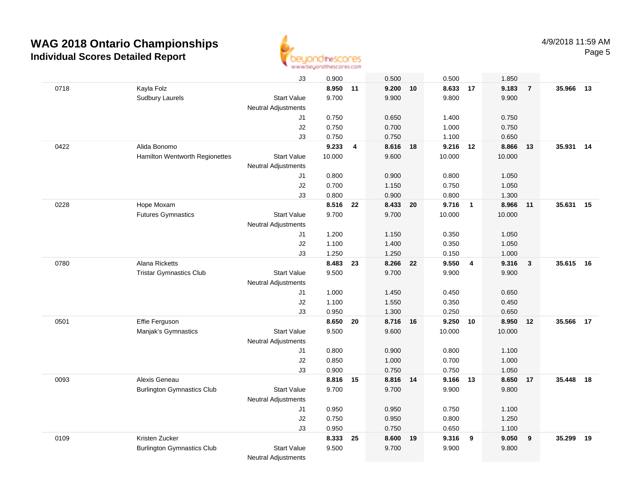

|      |                                   | J3                         | 0.900    |                         | 0.500    |    | 0.500    |                | 1.850  |                |           |    |
|------|-----------------------------------|----------------------------|----------|-------------------------|----------|----|----------|----------------|--------|----------------|-----------|----|
| 0718 | Kayla Folz                        |                            | 8.950 11 |                         | 9.200    | 10 | 8.633    | 17             | 9.183  | $\overline{7}$ | 35.966    | 13 |
|      | <b>Sudbury Laurels</b>            | <b>Start Value</b>         | 9.700    |                         | 9.900    |    | 9.800    |                | 9.900  |                |           |    |
|      |                                   | <b>Neutral Adjustments</b> |          |                         |          |    |          |                |        |                |           |    |
|      |                                   | J1                         | 0.750    |                         | 0.650    |    | 1.400    |                | 0.750  |                |           |    |
|      |                                   | J2                         | 0.750    |                         | 0.700    |    | 1.000    |                | 0.750  |                |           |    |
|      |                                   | J3                         | 0.750    |                         | 0.750    |    | 1.100    |                | 0.650  |                |           |    |
| 0422 | Alida Bonomo                      |                            | 9.233    | $\overline{\mathbf{4}}$ | 8.616 18 |    | 9.216    | 12             | 8.866  | 13             | 35.931    | 14 |
|      | Hamilton Wentworth Regionettes    | <b>Start Value</b>         | 10.000   |                         | 9.600    |    | 10.000   |                | 10.000 |                |           |    |
|      |                                   | <b>Neutral Adjustments</b> |          |                         |          |    |          |                |        |                |           |    |
|      |                                   | J1                         | 0.800    |                         | 0.900    |    | 0.800    |                | 1.050  |                |           |    |
|      |                                   | J2                         | 0.700    |                         | 1.150    |    | 0.750    |                | 1.050  |                |           |    |
|      |                                   | J3                         | 0.800    |                         | 0.900    |    | 0.800    |                | 1.300  |                |           |    |
| 0228 | Hope Moxam                        |                            | 8.516    | 22                      | 8.433    | 20 | 9.716    | $\overline{1}$ | 8.966  | 11             | 35.631    | 15 |
|      | <b>Futures Gymnastics</b>         | <b>Start Value</b>         | 9.700    |                         | 9.700    |    | 10.000   |                | 10.000 |                |           |    |
|      |                                   | Neutral Adjustments        |          |                         |          |    |          |                |        |                |           |    |
|      |                                   | J1                         | 1.200    |                         | 1.150    |    | 0.350    |                | 1.050  |                |           |    |
|      |                                   | J2                         | 1.100    |                         | 1.400    |    | 0.350    |                | 1.050  |                |           |    |
|      |                                   | J3                         | 1.250    |                         | 1.250    |    | 0.150    |                | 1.000  |                |           |    |
| 0780 | Alana Ricketts                    |                            | 8.483    | 23                      | 8.266 22 |    | 9.550    | $\overline{4}$ | 9.316  | $\mathbf{3}$   | 35.615 16 |    |
|      | <b>Tristar Gymnastics Club</b>    | <b>Start Value</b>         | 9.500    |                         | 9.700    |    | 9.900    |                | 9.900  |                |           |    |
|      |                                   | <b>Neutral Adjustments</b> |          |                         |          |    |          |                |        |                |           |    |
|      |                                   | J1                         | 1.000    |                         | 1.450    |    | 0.450    |                | 0.650  |                |           |    |
|      |                                   | J2                         | 1.100    |                         | 1.550    |    | 0.350    |                | 0.450  |                |           |    |
|      |                                   | J3                         | 0.950    |                         | 1.300    |    | 0.250    |                | 0.650  |                |           |    |
| 0501 | Effie Ferguson                    |                            | 8.650    | 20                      | 8.716    | 16 | 9.250    | 10             | 8.950  | 12             | 35.566    | 17 |
|      | Manjak's Gymnastics               | <b>Start Value</b>         | 9.500    |                         | 9.600    |    | 10.000   |                | 10.000 |                |           |    |
|      |                                   | Neutral Adjustments        |          |                         |          |    |          |                |        |                |           |    |
|      |                                   | J1                         | 0.800    |                         | 0.900    |    | 0.800    |                | 1.100  |                |           |    |
|      |                                   | J2                         | 0.850    |                         | 1.000    |    | 0.700    |                | 1.000  |                |           |    |
|      |                                   | J3                         | 0.900    |                         | 0.750    |    | 0.750    |                | 1.050  |                |           |    |
| 0093 | Alexis Geneau                     |                            | 8.816    | 15                      | 8.816 14 |    | 9.166 13 |                | 8.650  | 17             | 35.448    | 18 |
|      | <b>Burlington Gymnastics Club</b> | <b>Start Value</b>         | 9.700    |                         | 9.700    |    | 9.900    |                | 9.800  |                |           |    |
|      |                                   | Neutral Adjustments        |          |                         |          |    |          |                |        |                |           |    |
|      |                                   | J1                         | 0.950    |                         | 0.950    |    | 0.750    |                | 1.100  |                |           |    |
|      |                                   | J2                         | 0.750    |                         | 0.950    |    | 0.800    |                | 1.250  |                |           |    |
|      |                                   | J3                         | 0.950    |                         | 0.750    |    | 0.650    |                | 1.100  |                |           |    |
| 0109 | Kristen Zucker                    |                            | 8.333    | 25                      | 8.600    | 19 | 9.316    | 9              | 9.050  | 9              | 35.299    | 19 |
|      | <b>Burlington Gymnastics Club</b> | <b>Start Value</b>         | 9.500    |                         | 9.700    |    | 9.900    |                | 9.800  |                |           |    |
|      |                                   | <b>Neutral Adjustments</b> |          |                         |          |    |          |                |        |                |           |    |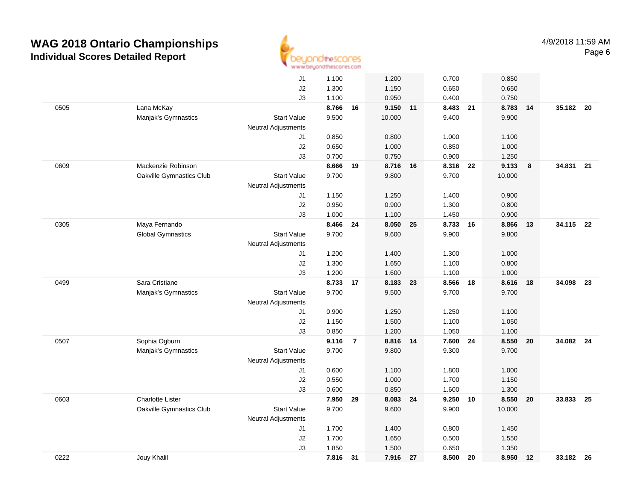

|      |                          | J1                         | 1.100 |                | 1.200    |    | 0.700    |    | 0.850  |    |           |    |
|------|--------------------------|----------------------------|-------|----------------|----------|----|----------|----|--------|----|-----------|----|
|      |                          | J2                         | 1.300 |                | 1.150    |    | 0.650    |    | 0.650  |    |           |    |
|      |                          | J3                         | 1.100 |                | 0.950    |    | 0.400    |    | 0.750  |    |           |    |
| 0505 | Lana McKay               |                            | 8.766 | 16             | 9.150 11 |    | 8.483 21 |    | 8.783  | 14 | 35.182 20 |    |
|      | Manjak's Gymnastics      | <b>Start Value</b>         | 9.500 |                | 10.000   |    | 9.400    |    | 9.900  |    |           |    |
|      |                          | <b>Neutral Adjustments</b> |       |                |          |    |          |    |        |    |           |    |
|      |                          | J1                         | 0.850 |                | 0.800    |    | 1.000    |    | 1.100  |    |           |    |
|      |                          | J2                         | 0.650 |                | 1.000    |    | 0.850    |    | 1.000  |    |           |    |
|      |                          | J3                         | 0.700 |                | 0.750    |    | 0.900    |    | 1.250  |    |           |    |
| 0609 | Mackenzie Robinson       |                            | 8.666 | 19             | 8.716 16 |    | 8.316 22 |    | 9.133  | 8  | 34.831 21 |    |
|      | Oakville Gymnastics Club | <b>Start Value</b>         | 9.700 |                | 9.800    |    | 9.700    |    | 10.000 |    |           |    |
|      |                          | <b>Neutral Adjustments</b> |       |                |          |    |          |    |        |    |           |    |
|      |                          | J1                         | 1.150 |                | 1.250    |    | 1.400    |    | 0.900  |    |           |    |
|      |                          | J2                         | 0.950 |                | 0.900    |    | 1.300    |    | 0.800  |    |           |    |
|      |                          | J3                         | 1.000 |                | 1.100    |    | 1.450    |    | 0.900  |    |           |    |
| 0305 | Maya Fernando            |                            | 8.466 | 24             | 8.050 25 |    | 8.733 16 |    | 8.866  | 13 | 34.115 22 |    |
|      | <b>Global Gymnastics</b> | <b>Start Value</b>         | 9.700 |                | 9.600    |    | 9.900    |    | 9.800  |    |           |    |
|      |                          | <b>Neutral Adjustments</b> |       |                |          |    |          |    |        |    |           |    |
|      |                          | J1                         | 1.200 |                | 1.400    |    | 1.300    |    | 1.000  |    |           |    |
|      |                          | J2                         | 1.300 |                | 1.650    |    | 1.100    |    | 0.800  |    |           |    |
|      |                          | J3                         | 1.200 |                | 1.600    |    | 1.100    |    | 1.000  |    |           |    |
| 0499 | Sara Cristiano           |                            | 8.733 | 17             | 8.183    | 23 | 8.566    | 18 | 8.616  | 18 | 34.098    | 23 |
|      | Manjak's Gymnastics      | <b>Start Value</b>         | 9.700 |                | 9.500    |    | 9.700    |    | 9.700  |    |           |    |
|      |                          | Neutral Adjustments        |       |                |          |    |          |    |        |    |           |    |
|      |                          | J1                         | 0.900 |                | 1.250    |    | 1.250    |    | 1.100  |    |           |    |
|      |                          | $\sf J2$                   | 1.150 |                | 1.500    |    | 1.100    |    | 1.050  |    |           |    |
|      |                          | J3                         | 0.850 |                | 1.200    |    | 1.050    |    | 1.100  |    |           |    |
| 0507 | Sophia Ogburn            |                            | 9.116 | $\overline{7}$ | 8.816 14 |    | 7.600    | 24 | 8.550  | 20 | 34.082 24 |    |
|      | Manjak's Gymnastics      | <b>Start Value</b>         | 9.700 |                | 9.800    |    | 9.300    |    | 9.700  |    |           |    |
|      |                          | Neutral Adjustments        |       |                |          |    |          |    |        |    |           |    |
|      |                          | J1                         | 0.600 |                | 1.100    |    | 1.800    |    | 1.000  |    |           |    |
|      |                          | J2                         | 0.550 |                | 1.000    |    | 1.700    |    | 1.150  |    |           |    |
|      |                          | J3                         | 0.600 |                | 0.850    |    | 1.600    |    | 1.300  |    |           |    |
| 0603 | <b>Charlotte Lister</b>  |                            | 7.950 | 29             | 8.083 24 |    | 9.250    | 10 | 8.550  | 20 | 33.833 25 |    |
|      | Oakville Gymnastics Club | <b>Start Value</b>         | 9.700 |                | 9.600    |    | 9.900    |    | 10.000 |    |           |    |
|      |                          | Neutral Adjustments        |       |                |          |    |          |    |        |    |           |    |
|      |                          | J1                         | 1.700 |                | 1.400    |    | 0.800    |    | 1.450  |    |           |    |
|      |                          | J2                         | 1.700 |                | 1.650    |    | 0.500    |    | 1.550  |    |           |    |
|      |                          | J3                         | 1.850 |                | 1.500    |    | 0.650    |    | 1.350  |    |           |    |
| 0222 | Jouy Khalil              |                            | 7.816 | 31             | 7.916    | 27 | 8.500    | 20 | 8.950  | 12 | 33.182 26 |    |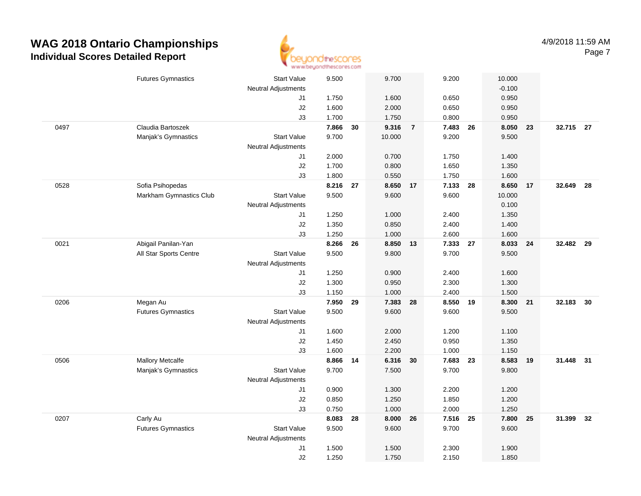

|      | <b>Futures Gymnastics</b>                   | <b>Start Value</b>         | 9.500          |    | 9.700          |                | 9.200             |    | 10.000          |    |           |     |
|------|---------------------------------------------|----------------------------|----------------|----|----------------|----------------|-------------------|----|-----------------|----|-----------|-----|
|      |                                             | <b>Neutral Adjustments</b> |                |    |                |                |                   |    | $-0.100$        |    |           |     |
|      |                                             | J1                         | 1.750          |    | 1.600          |                | 0.650             |    | 0.950           |    |           |     |
|      |                                             | J2                         | 1.600          |    | 2.000          |                | 0.650             |    | 0.950           |    |           |     |
|      |                                             | J3                         | 1.700          |    | 1.750          |                | 0.800             |    | 0.950           |    |           |     |
| 0497 | Claudia Bartoszek                           |                            | 7.866          | 30 | 9.316          | $\overline{7}$ | 7.483             | 26 | 8.050           | 23 | 32.715 27 |     |
|      | Manjak's Gymnastics                         | <b>Start Value</b>         | 9.700          |    | 10.000         |                | 9.200             |    | 9.500           |    |           |     |
|      |                                             | <b>Neutral Adjustments</b> |                |    |                |                |                   |    |                 |    |           |     |
|      |                                             | J1                         | 2.000          |    | 0.700          |                | 1.750             |    | 1.400           |    |           |     |
|      |                                             | $\sf J2$                   | 1.700          |    | 0.800          |                | 1.650             |    | 1.350           |    |           |     |
| 0528 |                                             | J3                         | 1.800          | 27 | 0.550          |                | 1.750             |    | 1.600           |    | 32.649    | -28 |
|      | Sofia Psihopedas<br>Markham Gymnastics Club | <b>Start Value</b>         | 8.216<br>9.500 |    | 8.650<br>9.600 | 17             | 7.133 28<br>9.600 |    | 8.650<br>10.000 | 17 |           |     |
|      |                                             | <b>Neutral Adjustments</b> |                |    |                |                |                   |    | 0.100           |    |           |     |
|      |                                             | J1                         | 1.250          |    | 1.000          |                | 2.400             |    | 1.350           |    |           |     |
|      |                                             | J2                         | 1.350          |    | 0.850          |                | 2.400             |    | 1.400           |    |           |     |
|      |                                             | J3                         | 1.250          |    | 1.000          |                | 2.600             |    | 1.600           |    |           |     |
| 0021 | Abigail Panilan-Yan                         |                            | 8.266          | 26 | 8.850          | 13             | 7.333 27          |    | 8.033           | 24 | 32.482 29 |     |
|      | All Star Sports Centre                      | <b>Start Value</b>         | 9.500          |    | 9.800          |                | 9.700             |    | 9.500           |    |           |     |
|      |                                             | <b>Neutral Adjustments</b> |                |    |                |                |                   |    |                 |    |           |     |
|      |                                             | J1                         | 1.250          |    | 0.900          |                | 2.400             |    | 1.600           |    |           |     |
|      |                                             | J2                         | 1.300          |    | 0.950          |                | 2.300             |    | 1.300           |    |           |     |
|      |                                             | J3                         | 1.150          |    | 1.000          |                | 2.400             |    | 1.500           |    |           |     |
| 0206 | Megan Au                                    |                            | 7.950          | 29 | 7.383          | 28             | 8.550             | 19 | 8.300           | 21 | 32.183    | 30  |
|      | <b>Futures Gymnastics</b>                   | <b>Start Value</b>         | 9.500          |    | 9.600          |                | 9.600             |    | 9.500           |    |           |     |
|      |                                             | <b>Neutral Adjustments</b> |                |    |                |                |                   |    |                 |    |           |     |
|      |                                             | J1                         | 1.600          |    | 2.000          |                | 1.200             |    | 1.100           |    |           |     |
|      |                                             | J2                         | 1.450          |    | 2.450          |                | 0.950             |    | 1.350           |    |           |     |
|      |                                             | J3                         | 1.600          |    | 2.200          |                | 1.000             |    | 1.150           |    |           |     |
| 0506 | Mallory Metcalfe                            |                            | 8.866 14       |    | 6.316 30       |                | 7.683 23          |    | 8.583           | 19 | 31.448 31 |     |
|      | Manjak's Gymnastics                         | <b>Start Value</b>         | 9.700          |    | 7.500          |                | 9.700             |    | 9.800           |    |           |     |
|      |                                             | <b>Neutral Adjustments</b> |                |    |                |                |                   |    |                 |    |           |     |
|      |                                             | J1                         | 0.900          |    | 1.300          |                | 2.200             |    | 1.200           |    |           |     |
|      |                                             | J2                         | 0.850          |    | 1.250          |                | 1.850             |    | 1.200           |    |           |     |
|      |                                             | J3                         | 0.750          |    | 1.000          |                | 2.000             |    | 1.250           |    |           |     |
| 0207 | Carly Au                                    |                            | 8.083          | 28 | 8.000          | 26             | 7.516 25          |    | 7.800           | 25 | 31.399    | 32  |
|      | <b>Futures Gymnastics</b>                   | <b>Start Value</b>         | 9.500          |    | 9.600          |                | 9.700             |    | 9.600           |    |           |     |
|      |                                             | <b>Neutral Adjustments</b> |                |    |                |                |                   |    |                 |    |           |     |
|      |                                             | J1                         | 1.500          |    | 1.500          |                | 2.300             |    | 1.900           |    |           |     |
|      |                                             | J2                         | 1.250          |    | 1.750          |                | 2.150             |    | 1.850           |    |           |     |